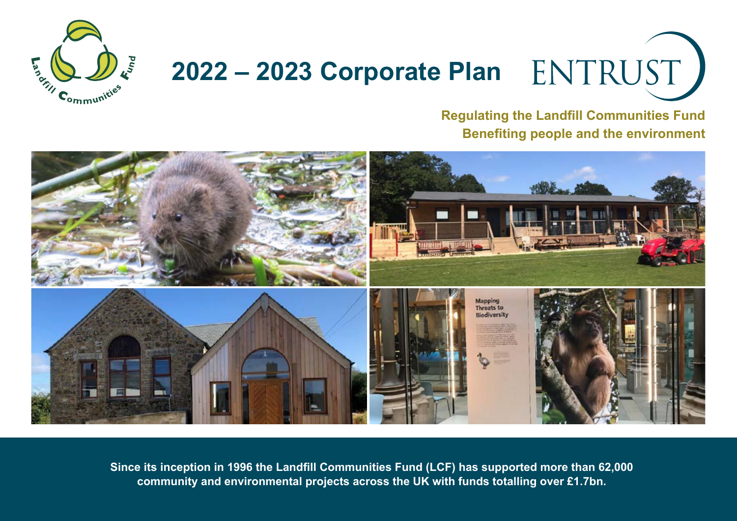

# **2022 – 2023 Corporate Plan**

**Regulating the Landfill Communities Fund Benefiting people and the environment**



**Since its inception in 1996 the Landfill Communities Fund (LCF) has supported more than 62,000 community and environmental projects across the UK with funds totalling over £1.7bn.**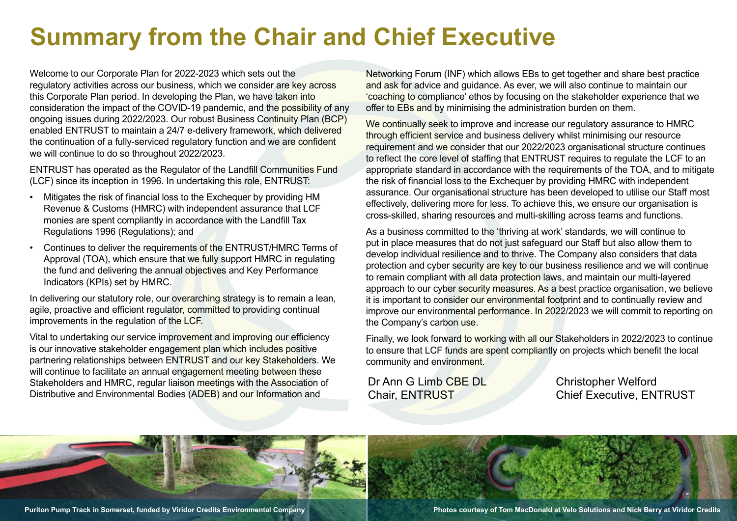# **Summary from the Chair and Chief Executive**

Welcome to our Corporate Plan for 2022-2023 which sets out the regulatory activities across our business, which we consider are key across this Corporate Plan period. In developing the Plan, we have taken into consideration the impact of the COVID-19 pandemic, and the possibility of any ongoing issues during 2022/2023. Our robust Business Continuity Plan (BCP) enabled ENTRUST to maintain a 24/7 e-delivery framework, which delivered the continuation of a fully-serviced regulatory function and we are confident we will continue to do so throughout 2022/2023.

ENTRUST has operated as the Regulator of the Landfill Communities Fund (LCF) since its inception in 1996. In undertaking this role, ENTRUST:

- Mitigates the risk of financial loss to the Exchequer by providing HM Revenue & Customs (HMRC) with independent assurance that LCF monies are spent compliantly in accordance with the Landfill Tax Regulations 1996 (Regulations); and
- Continues to deliver the requirements of the ENTRUST/HMRC Terms of Approval (TOA), which ensure that we fully support HMRC in regulating the fund and delivering the annual objectives and Key Performance Indicators (KPIs) set by HMRC.

In delivering our statutory role, our overarching strategy is to remain a lean, agile, proactive and efficient regulator, committed to providing continual improvements in the regulation of the LCF.

Vital to undertaking our service improvement and improving our efficiency is our innovative stakeholder engagement plan which includes positive partnering relationships between ENTRUST and our key Stakeholders. We will continue to facilitate an annual engagement meeting between these Stakeholders and HMRC, regular liaison meetings with the Association of Distributive and Environmental Bodies (ADEB) and our Information and

Networking Forum (INF) which allows EBs to get together and share best practice and ask for advice and guidance. As ever, we will also continue to maintain our 'coaching to compliance' ethos by focusing on the stakeholder experience that we offer to EBs and by minimising the administration burden on them.

We continually seek to improve and increase our regulatory assurance to HMRC through efficient service and business delivery whilst minimising our resource requirement and we consider that our 2022/2023 organisational structure continues to reflect the core level of staffing that ENTRUST requires to regulate the LCF to an appropriate standard in accordance with the requirements of the TOA, and to mitigate the risk of financial loss to the Exchequer by providing HMRC with independent assurance. Our organisational structure has been developed to utilise our Staff most effectively, delivering more for less. To achieve this, we ensure our organisation is cross-skilled, sharing resources and multi-skilling across teams and functions.

As a business committed to the 'thriving at work' standards, we will continue to put in place measures that do not just safeguard our Staff but also allow them to develop individual resilience and to thrive. The Company also considers that data protection and cyber security are key to our business resilience and we will continue to remain compliant with all data protection laws, and maintain our multi-layered approach to our cyber security measures. As a best practice organisation, we believe it is important to consider our environmental footprint and to continually review and improve our environmental performance. In 2022/2023 we will commit to reporting on the Company's carbon use.

Finally, we look forward to working with all our Stakeholders in 2022/2023 to continue to ensure that LCF funds are spent compliantly on projects which benefit the local community and environment.

Dr Ann G Limb CBE DL Chair, ENTRUST

Christopher Welford Chief Executive, ENTRUST



**Puriton Pump Track in Somerset, funded by Viridor Credits Environmental Company Photos courtesy of Tom MacDonald at Velo Solutions and Nick Berry at Viridor Credits**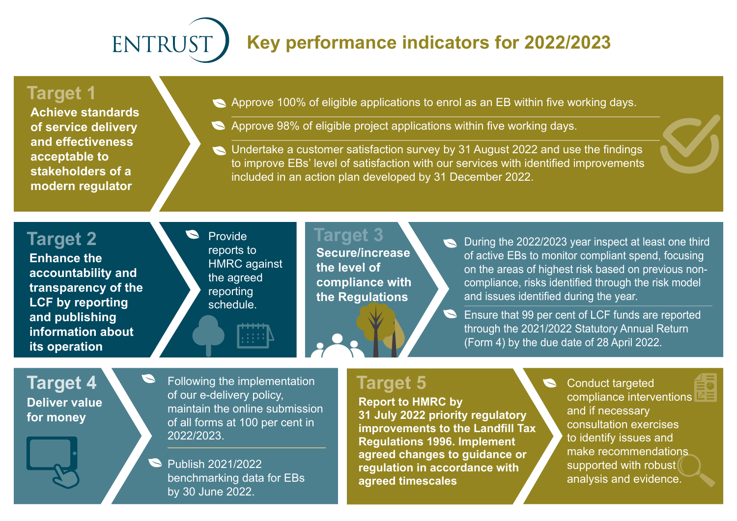## **ENTRUS Key performance indicators for 2022/2023**

#### **Target 1**

**Achieve standards of service delivery and effectiveness acceptable to stakeholders of a modern regulator**

- Approve 100% of eligible applications to enrol as an EB within five working days.
- Approve 98% of eligible project applications within five working days.
- Undertake a customer satisfaction survey by 31 August 2022 and use the findings to improve EBs' level of satisfaction with our services with identified improvements included in an action plan developed by 31 December 2022.

### **Target 2**

**Enhance the accountability and transparency of the LCF by reporting and publishing information about its operation**

**S** Provide reports to **HMRC** against the agreed reporting schedule.

**Target 3 Secure/increase the level of compliance with the Regulations**

During the 2022/2023 year inspect at least one third of active EBs to monitor compliant spend, focusing on the areas of highest risk based on previous noncompliance, risks identified through the risk model and issues identified during the year.

Ensure that 99 per cent of LCF funds are reported through the 2021/2022 Statutory Annual Return (Form 4) by the due date of 28 April 2022.

**Deliver value for money**

**Target 4 Prollowing the implementation Target 5** of our e-delivery policy, maintain the online submission of all forms at 100 per cent in 2022/2023.

> Publish 2021/2022  $\blacktriangleright$ benchmarking data for EBs by 30 June 2022.

**Report to HMRC by 31 July 2022 priority regulatory improvements to the Landfill Tax Regulations 1996. Implement agreed changes to guidance or regulation in accordance with agreed timescales**

Conduct targeted compliance interventions and if necessary consultation exercises to identify issues and make recommendations supported with robust analysis and evidence.